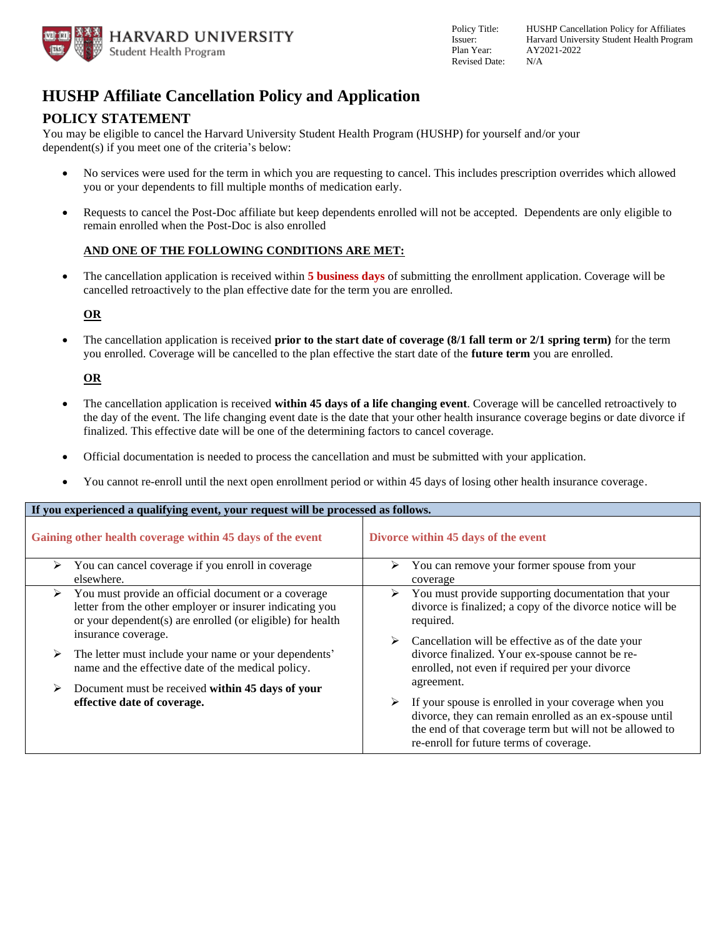

# **HUSHP Affiliate Cancellation Policy and Application**

### **POLICY STATEMENT**

 You may be eligible to cancel the Harvard University Student Health Program (HUSHP) for yourself and/or your dependent(s) if you meet one of the criteria's below:

- • No services were used for the term in which you are requesting to cancel. This includes prescription overrides which allowed you or your dependents to fill multiple months of medication early.
- • Requests to cancel the Post-Doc affiliate but keep dependents enrolled will not be accepted. Dependents are only eligible to remain enrolled when the Post-Doc is also enrolled

### **AND ONE OF THE FOLLOWING CONDITIONS ARE MET:**

 • The cancellation application is received within **5 business days** of submitting the enrollment application. Coverage will be cancelled retroactively to the plan effective date for the term you are enrolled.

### **OR**

 • The cancellation application is received **prior to the start date of coverage (8/1 fall term or 2/1 spring term)** for the term you enrolled. Coverage will be cancelled to the plan effective the start date of the **future term** you are enrolled.

### **OR**

- • The cancellation application is received **within 45 days of a life changing event**. Coverage will be cancelled retroactively to the day of the event. The life changing event date is the date that your other health insurance coverage begins or date divorce if finalized. This effective date will be one of the determining factors to cancel coverage.
- Official documentation is needed to process the cancellation and must be submitted with your application.
- You cannot re-enroll until the next open enrollment period or within 45 days of losing other health insurance coverage.

| If you experienced a qualifying event, your request will be processed as follows. |                                                                                                                                                                               |                                                                                                                                                                                                                                           |  |  |
|-----------------------------------------------------------------------------------|-------------------------------------------------------------------------------------------------------------------------------------------------------------------------------|-------------------------------------------------------------------------------------------------------------------------------------------------------------------------------------------------------------------------------------------|--|--|
| Gaining other health coverage within 45 days of the event                         |                                                                                                                                                                               | Divorce within 45 days of the event                                                                                                                                                                                                       |  |  |
| ➤                                                                                 | You can cancel coverage if you enroll in coverage<br>elsewhere.                                                                                                               | You can remove your former spouse from your<br>➤<br>coverage                                                                                                                                                                              |  |  |
| ≻                                                                                 | You must provide an official document or a coverage<br>letter from the other employer or insurer indicating you<br>or your dependent(s) are enrolled (or eligible) for health | You must provide supporting documentation that your<br>➤<br>divorce is finalized; a copy of the divorce notice will be<br>required.                                                                                                       |  |  |
| ➤                                                                                 | insurance coverage.<br>The letter must include your name or your dependents'<br>name and the effective date of the medical policy.                                            | Cancellation will be effective as of the date your<br>divorce finalized. Your ex-spouse cannot be re-<br>enrolled, not even if required per your divorce                                                                                  |  |  |
| ➤                                                                                 | Document must be received within 45 days of your<br>effective date of coverage.                                                                                               | agreement.<br>If your spouse is enrolled in your coverage when you<br>➤<br>divorce, they can remain enrolled as an ex-spouse until<br>the end of that coverage term but will not be allowed to<br>re-enroll for future terms of coverage. |  |  |